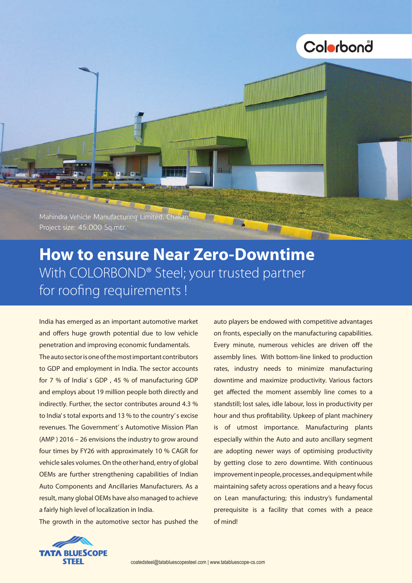

## **How to ensure Near Zero-Downtime**  With COLORBOND® Steel; your trusted partner for roofing requirements !

India has emerged as an important automotive market and offers huge growth potential due to low vehicle penetration and improving economic fundamentals.

The auto sector is one of the most important contributors to GDP and employment in India. The sector accounts for 7 % of India' s GDP , 45 % of manufacturing GDP and employs about 19 million people both directly and indirectly. Further, the sector contributes around 4.3 % to India's total exports and 13 % to the country's excise revenues. The Government' s Automotive Mission Plan (AMP ) 2016 – 26 envisions the industry to grow around four times by FY26 with approximately 10 % CAGR for vehicle sales volumes. On the other hand, entry of global OEMs are further strengthening capabilities of Indian Auto Components and Ancillaries Manufacturers. As a result, many global OEMs have also managed to achieve a fairly high level of localization in India.

The growth in the automotive sector has pushed the

auto players be endowed with competitive advantages on fronts, especially on the manufacturing capabilities. Every minute, numerous vehicles are driven off the assembly lines. With bottom-line linked to production rates, industry needs to minimize manufacturing downtime and maximize productivity. Various factors get affected the moment assembly line comes to a standstill; lost sales, idle labour, loss in productivity per hour and thus profitability. Upkeep of plant machinery is of utmost importance. Manufacturing plants especially within the Auto and auto ancillary segment are adopting newer ways of optimising productivity by getting close to zero downtime. With continuous improvement in people, processes, and equipment while maintaining safety across operations and a heavy focus on Lean manufacturing; this industry's fundamental prerequisite is a facility that comes with a peace of mind!

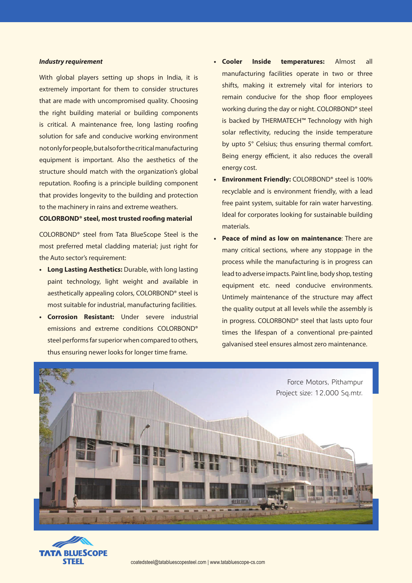## *Industry requirement*

With global players setting up shops in India, it is extremely important for them to consider structures that are made with uncompromised quality. Choosing the right building material or building components is critical. A maintenance free, long lasting roofing solution for safe and conducive working environment not only for people, but also for the critical manufacturing equipment is important. Also the aesthetics of the structure should match with the organization's global reputation. Roofing is a principle building component that provides longevity to the building and protection to the machinery in rains and extreme weathers.

## **COLORBOND® steel, most trusted roofing material**

COLORBOND® steel from Tata BlueScope Steel is the most preferred metal cladding material; just right for the Auto sector's requirement:

- **Long Lasting Aesthetics: Durable, with long lasting** paint technology, light weight and available in aesthetically appealing colors, COLORBOND® steel is most suitable for industrial, manufacturing facilities.
- **• Corrosion Resistant:** Under severe industrial emissions and extreme conditions COLORBOND® steel performs far superior when compared to others, thus ensuring newer looks for longer time frame.
- **• Cooler Inside temperatures:** Almost all manufacturing facilities operate in two or three shifts, making it extremely vital for interiors to remain conducive for the shop floor employees working during the day or night. COLORBOND® steel is backed by THERMATECH™ Technology with high solar reflectivity, reducing the inside temperature by upto 5° Celsius; thus ensuring thermal comfort. Being energy efficient, it also reduces the overall energy cost.
- **Environment Friendly: COLORBOND®** steel is 100% recyclable and is environment friendly, with a lead free paint system, suitable for rain water harvesting. Ideal for corporates looking for sustainable building materials.
- **Peace of mind as low on maintenance:** There are many critical sections, where any stoppage in the process while the manufacturing is in progress can lead to adverse impacts. Paint line, body shop, testing equipment etc. need conducive environments. Untimely maintenance of the structure may affect the quality output at all levels while the assembly is in progress. COLORBOND® steel that lasts upto four times the lifespan of a conventional pre-painted galvanised steel ensures almost zero maintenance.